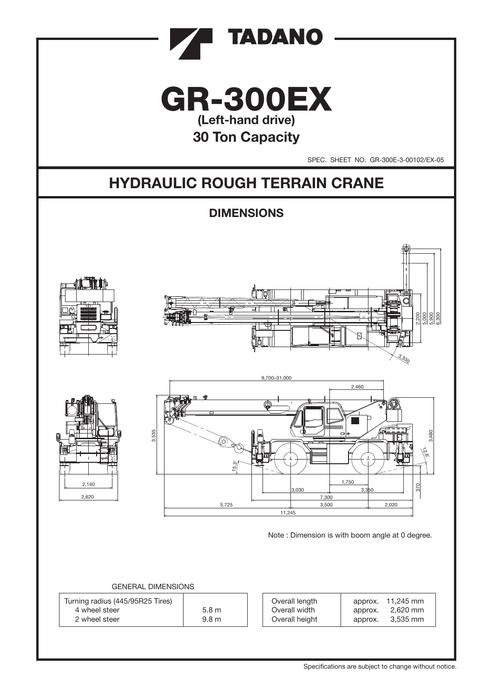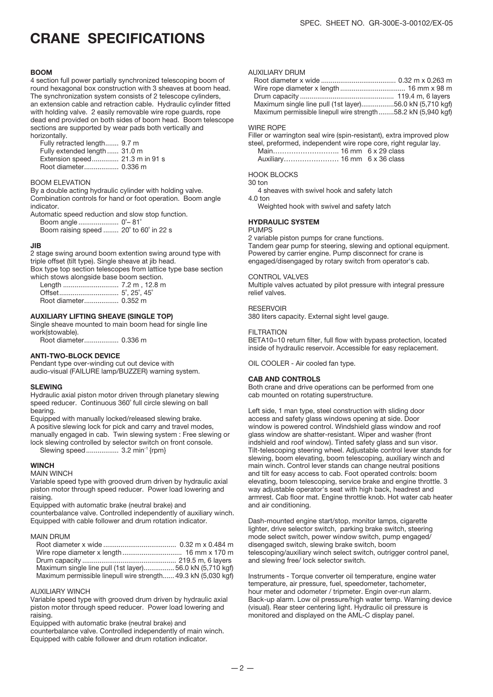### CRANE SPECIFICATIONS

#### **BOOM**

4 section full power partially synchronized telescoping boom of round hexagonal box construction with 3 sheaves at boom head. The synchronization system consists of 2 telescope cylinders, an extension cable and retraction cable. Hydraulic cylinder fitted with holding valve. 2 easily removable wire rope guards, rope dead end provided on both sides of boom head. Boom telescope sections are supported by wear pads both vertically and horizontally.

 Fully retracted length....... 9.7 m Fully extended length ...... 31.0 m Extension speed.............. 21.3 m in 91 s Root diameter.................. 0.336 m

#### BOOM ELEVATION

By a double acting hydraulic cylinder with holding valve. Combination controls for hand or foot operation. Boom angle indicator.

Automatic speed reduction and slow stop function. Boom angle ..................... 0˚– 81˚

Boom raising speed ........ 20˚ to 60˚ in 22 s

#### JIB

2 stage swing around boom extention swing around type with triple offset (tilt type). Single sheave at jib head. Box type top section telescopes from lattice type base section

which stows alongside base boom section. Length ............................. 7.2 m , 12.8 m

 Offset............................... 5˚, 25˚, 45˚ Root diameter.................. 0.352 m

#### AUXILIARY LIFTING SHEAVE (SINGLE TOP)

Single sheave mounted to main boom head for single line work(stowable).

Root diameter.................. 0.336 m

#### ANTI-TWO-BLOCK DEVICE

Pendant type over-winding cut out device with audio-visual (FAILURE lamp/BUZZER) warning system.

#### **SLEWING**

Hydraulic axial piston motor driven through planetary slewing speed reducer. Continuous 360° full circle slewing on ball bearing.

Equipped with manually locked/released slewing brake. A positive slewing lock for pick and carry and travel modes, manually engaged in cab. Twin slewing system : Free slewing or lock slewing controlled by selector switch on front console. Slewing speed................. 3.2 min-1 {rpm}

#### **WINCH**

#### MAIN WINCH

Variable speed type with grooved drum driven by hydraulic axial piston motor through speed reducer. Power load lowering and raising.

Equipped with automatic brake (neutral brake) and

counterbalance valve. Controlled independently of auxiliary winch. Equipped with cable follower and drum rotation indicator.

#### MAIN DRUM

| Maximum single line pull (1st layer)56.0 kN (5,710 kgf)        |  |
|----------------------------------------------------------------|--|
| Maximum permissible linepull wire strength 49.3 kN (5,030 kgf) |  |

#### AUXILIARY WINCH

Variable speed type with grooved drum driven by hydraulic axial piston motor through speed reducer. Power load lowering and raising.

Equipped with automatic brake (neutral brake) and

counterbalance valve. Controlled independently of main winch. Equipped with cable follower and drum rotation indicator.

#### AUXILIARY DRUM

| Maximum single line pull (1st layer)56.0 kN (5,710 kgf)       |  |
|---------------------------------------------------------------|--|
| Maximum permissible linepull wire strength58.2 kN (5,940 kgf) |  |

#### WIRE ROPE

Filler or warrington seal wire (spin-resistant), extra improved plow steel, preformed, independent wire rope core, right regular lay.

 Main……………………….. 16 mm 6 x 29 class Auxiliary…………………… 16 mm 6 x 36 class

#### HOOK BLOCKS

30 ton

4 sheaves with swivel hook and safety latch

4.0 ton

Weighted hook with swivel and safety latch

#### HYDRAULIC SYSTEM

### PUMPS

2 variable piston pumps for crane functions. Tandem gear pump for steering, slewing and optional equipment. Powered by carrier engine. Pump disconnect for crane is engaged/disengaged by rotary switch from operator's cab.

#### CONTROL VALVES

Multiple valves actuated by pilot pressure with integral pressure relief valves.

#### RESERVOIR

380 liters capacity. External sight level gauge.

#### **FILTRATION**

BETA10=10 return filter, full flow with bypass protection, located inside of hydraulic reservoir. Accessible for easy replacement.

OIL COOLER - Air cooled fan type.

#### CAB AND CONTROLS

Both crane and drive operations can be performed from one cab mounted on rotating superstructure.

Left side, 1 man type, steel construction with sliding door access and safety glass windows opening at side. Door window is powered control. Windshield glass window and roof glass window are shatter-resistant. Wiper and washer (front indshield and roof window). Tinted safety glass and sun visor. Tilt-telescoping steering wheel. Adjustable control lever stands for slewing, boom elevating, boom telescoping, auxiliary winch and main winch. Control lever stands can change neutral positions and tilt for easy access to cab. Foot operated controls: boom elevating, boom telescoping, service brake and engine throttle. 3 way adjustable operator's seat with high back, headrest and armrest. Cab floor mat. Engine throttle knob. Hot water cab heater and air conditioning.

Dash-mounted engine start/stop, monitor lamps, cigarette lighter, drive selector switch, parking brake switch, steering mode select switch, power window switch, pump engaged/ disengaged switch, slewing brake switch, boom telescoping/auxiliary winch select switch, outrigger control panel, and slewing free/ lock selector switch.

Instruments - Torque converter oil temperature, engine water temperature, air pressure, fuel, speedometer, tachometer, hour meter and odometer / tripmeter. Engin over-run alarm. Back-up alarm. Low oil pressure/high water temp. Warning device (visual). Rear steer centering light. Hydraulic oil pressure is monitored and displayed on the AML-C display panel.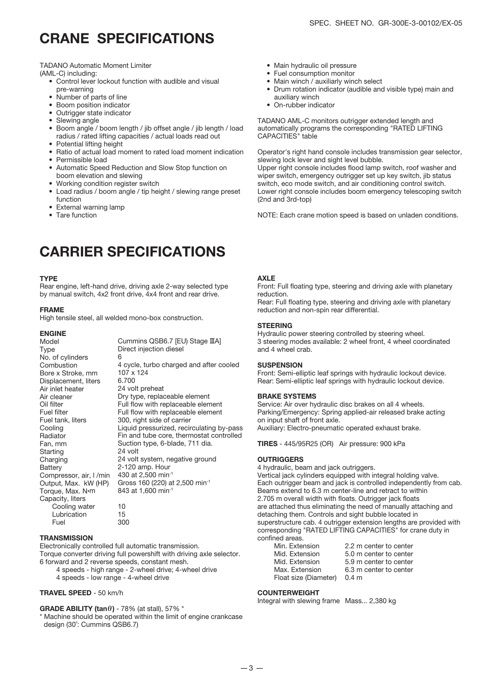### CRANE SPECIFICATIONS

TADANO Automatic Moment Limiter

(AML-C) including:

- Control lever lockout function with audible and visual pre-warning
- Number of parts of line
- Boom position indicator
- Outrigger state indicator
- Slewing angle
- Boom angle / boom length / jib offset angle / jib length / load radius / rated lifting capacities / actual loads read out
- Potential lifting height
- Ratio of actual load moment to rated load moment indication
- Permissible load
- Automatic Speed Reduction and Slow Stop function on
- boom elevation and slewing • Working condition register switch
- Load radius / boom angle / tip height / slewing range preset function
- External warning lamp
- Tare function

### CARRIER SPECIFICATIONS

#### **TYPF**

Rear engine, left-hand drive, driving axle 2-way selected type by manual switch, 4x2 front drive, 4x4 front and rear drive.

#### FRAME

High tensile steel, all welded mono-box construction.

#### ENGINE

| Model                   | Cummins QSB6.7 [EU) Stage IIIA]            |
|-------------------------|--------------------------------------------|
| Type                    | Direct injection diesel                    |
| No. of cylinders        | 6                                          |
| Combustion              | 4 cycle, turbo charged and after cooled    |
| Bore x Stroke, mm       | 107 x 124                                  |
| Displacement, liters    | 6.700                                      |
| Air inlet heater        | 24 volt preheat                            |
| Air cleaner             | Dry type, replaceable element              |
| Oil filter              | Full flow with replaceable element         |
| Fuel filter             | Full flow with replaceable element         |
| Fuel tank, liters       | 300, right side of carrier                 |
| Cooling                 | Liquid pressurized, recirculating by-pass  |
| Radiator                | Fin and tube core, thermostat controlled   |
| Fan, mm                 | Suction type, 6-blade, 711 dia.            |
| Starting                | 24 volt                                    |
| Charging                | 24 volt system, negative ground            |
| Battery                 | 2-120 amp. Hour                            |
| Compressor, air, I /min | 430 at 2,500 min <sup>-1</sup>             |
| Output, Max. kW (HP)    | Gross 160 (220) at 2,500 min <sup>-1</sup> |
| Torque, Max. N•m        | 843 at 1,600 min-1                         |
| Capacity, liters        |                                            |
| Cooling water           | 10                                         |
| Lubrication             | 15                                         |
| Fuel                    | 300                                        |

#### **TRANSMISSION**

Electronically controlled full automatic transmission. Torque converter driving full powershift with driving axle selector. 6 forward and 2 reverse speeds, constant mesh.

- 4 speeds high range 2-wheel drive; 4-wheel drive
- 4 speeds low range 4-wheel drive

#### TRAVEL SPEED - 50 km/h

#### GRADE ABILITY (tan $\theta$ ) - 78% (at stall), 57% \*

\* Machine should be operated within the limit of engine crankcase design (30˚: Cummins QSB6.7)

- Main hydraulic oil pressure
- Fuel consumption monitor
- Main winch / auxiliarly winch select
- Drum rotation indicator (audible and visible type) main and auxiliary winch
- On-rubber indicator

TADANO AML-C monitors outrigger extended length and automatically programs the corresponding "RATED LIFTING CAPACITIES" table

Operator's right hand console includes transmission gear selector, slewing lock lever and sight level bubble.

Upper right console includes flood lamp switch, roof washer and wiper switch, emergency outrigger set up key switch, jib status switch, eco mode switch, and air conditioning control switch. Lower right console includes boom emergency telescoping switch (2nd and 3rd-top)

NOTE: Each crane motion speed is based on unladen conditions.

#### **AXIF**

Front: Full floating type, steering and driving axle with planetary reduction.

Rear: Full floating type, steering and driving axle with planetary reduction and non-spin rear differential.

#### **STEERING**

Hydraulic power steering controlled by steering wheel. 3 steering modes available: 2 wheel front, 4 wheel coordinated and 4 wheel crab.

#### **SUSPENSION**

Front: Semi-elliptic leaf springs with hydraulic lockout device. Rear: Semi-elliptic leaf springs with hydraulic lockout device.

#### BRAKE SYSTEMS

Service: Air over hydraulic disc brakes on all 4 wheels. Parking/Emergency: Spring applied-air released brake acting on input shaft of front axle. Auxiliary: Electro-pneumatic operated exhaust brake.

TIRES - 445/95R25 (OR) Air pressure: 900 kPa

#### **OUTRIGGERS**

4 hydraulic, beam and jack outriggers. Vertical jack cylinders equipped with integral holding valve. Each outrigger beam and jack is controlled independently from cab. Beams extend to 6.3 m center-line and retract to within 2.705 m overall width with floats. Outrigger jack floats are attached thus eliminating the need of manually attaching and detaching them. Controls and sight bubble located in superstructure cab. 4 outrigger extension lengths are provided with corresponding "RATED LIFTING CAPACITIES" for crane duty in confined areas.

| Min. Extension        | 2.2 m center to center |
|-----------------------|------------------------|
| Mid. Extension        | 5.0 m center to center |
| Mid. Extension        | 5.9 m center to center |
| Max. Extension        | 6.3 m center to center |
| Float size (Diameter) | 0.4 <sub>m</sub>       |

#### COUNTERWEIGHT

Integral with slewing frame Mass... 2,380 kg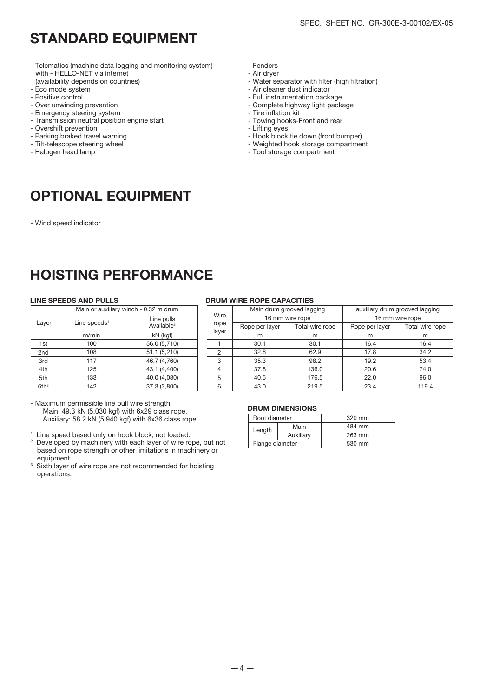### STANDARD EQUIPMENT

- Telematics (machine data logging and monitoring system) with - HELLO-NET via internet (availability depends on countries)
- Eco mode system
- Positive control
- Over unwinding prevention
- Emergency steering system
- Transmission neutral position engine start
- Overshift prevention
- Parking braked travel warning
- Tilt-telescope steering wheel
- Halogen head lamp

### OPTIONAL EQUIPMENT

- Wind speed indicator

### HOISTING PERFORMANCE

|                  | Main or auxiliary winch - 0.32 m drum |                                      |  |  |  |  |  |
|------------------|---------------------------------------|--------------------------------------|--|--|--|--|--|
| Layer            | Line speeds $1$                       | Line pulls<br>Available <sup>2</sup> |  |  |  |  |  |
|                  | m/min                                 | kN (kgf)                             |  |  |  |  |  |
| 1st              | 100                                   | 56.0 (5,710)                         |  |  |  |  |  |
| 2 <sub>nd</sub>  | 108                                   | 51.1 (5,210)                         |  |  |  |  |  |
| 3rd              | 117                                   | 46.7 (4,760)                         |  |  |  |  |  |
| 4th              | 125                                   | 43.1 (4,400)                         |  |  |  |  |  |
| 5th              | 133                                   | 40.0 (4,080)                         |  |  |  |  |  |
| 6th <sup>3</sup> | 142                                   | 37.3 (3,800)                         |  |  |  |  |  |

- Maximum permissible line pull wire strength. Main: 49.3 kN (5,030 kgf) with 6x29 class rope. Auxiliary: 58.2 kN (5,940 kgf) with 6x36 class rope.

<sup>1</sup> Line speed based only on hook block, not loaded.

<sup>2</sup> Developed by machinery with each layer of wire rope, but not based on rope strength or other limitations in machinery or equipment.

<sup>3</sup> Sixth layer of wire rope are not recommended for hoisting operations.

#### - Fenders - Air dryer

- Water separator with filter (high filtration)
- Air cleaner dust indicator
- Full instrumentation package
- Complete highway light package
- Tire inflation kit
- Towing hooks-Front and rear
- Lifting eyes
- Hook block tie down (front bumper)
- Weighted hook storage compartment
- Tool storage compartment

#### LINE SPEEDS AND PULLS DRUM WIRE ROPE CAPACITIES

| Main or auxiliary winch - 0.32 m drum |                        |       |                | Main drum grooved lagging | auxiliary drum grooved lagging<br>16 mm wire rope |                 |  |
|---------------------------------------|------------------------|-------|----------------|---------------------------|---------------------------------------------------|-----------------|--|
| Line pulls                            |                        | Wire  |                | 16 mm wire rope           |                                                   |                 |  |
| _ine speeds <sup>1</sup>              | Available <sup>2</sup> | rope  | Rope per layer | Total wire rope           | Rope per layer                                    | Total wire rope |  |
| m/min                                 | kN (kgf)               | layer | m              | m                         | m                                                 | m               |  |
| 100                                   | 56.0 (5,710)           |       | 30.1           | 30.1                      | 16.4                                              | 16.4            |  |
| 108                                   | 51.1(5,210)            | ∩     | 32.8           | 62.9                      | 17.8                                              | 34.2            |  |
| 117                                   | 46.7 (4,760)           | 3     | 35.3           | 98.2                      | 19.2                                              | 53.4            |  |
| 125                                   | 43.1 (4,400)           | 4     | 37.8           | 136.0                     | 20.6                                              | 74.0            |  |
| 133                                   | 40.0 (4,080)           | 5     | 40.5           | 176.5                     | 22.0                                              | 96.0            |  |
| 142                                   | 37.3 (3,800)           | 6     | 43.0           | 219.5                     | 23.4                                              | 119.4           |  |

#### DRUM DIMENSIONS

| Root diameter   |           | 320 mm |
|-----------------|-----------|--------|
| Length          | Main      | 484 mm |
|                 | Auxiliary | 263 mm |
| Flange diameter |           | 530 mm |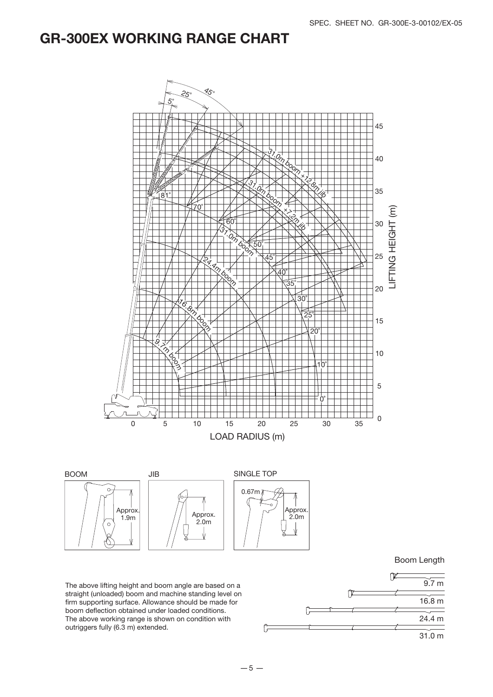### GR-300EX WORKING RANGE CHART





Boom Length

The above lifting height and boom angle are based on a straight (unloaded) boom and machine standing level on firm supporting surface. Allowance should be made for boom deflection obtained under loaded conditions. The above working range is shown on condition with outriggers fully (6.3 m) extended.

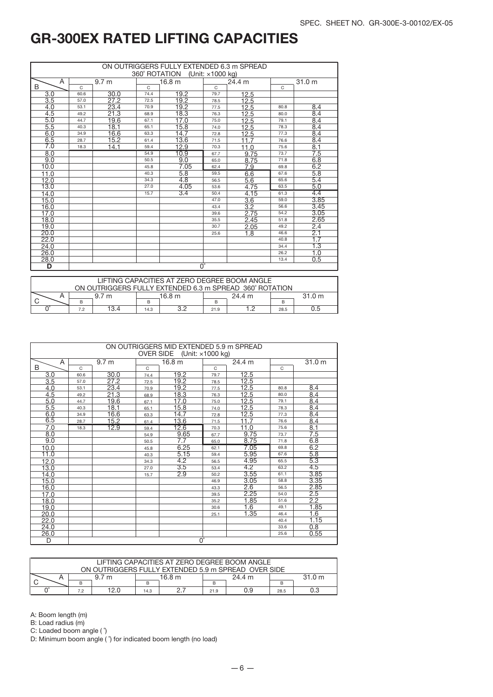| ON OUTRIGGERS FULLY EXTENDED 6.3 m SPREAD<br>360° ROTATION (Unit: x1000 kg) |          |                  |      |                  |      |                  |              |                   |
|-----------------------------------------------------------------------------|----------|------------------|------|------------------|------|------------------|--------------|-------------------|
| A                                                                           |          | 9.7 <sub>m</sub> |      | 16.8 m           |      | 24.4 m           |              | 31.0 <sub>m</sub> |
| B                                                                           | $\Omega$ |                  | C    |                  | C    |                  | $\mathsf{C}$ |                   |
| $\overline{3.0}$                                                            | 60.6     | 30.0             | 74.4 | 19.2             | 79.7 | 12.5             |              |                   |
| 3.5                                                                         | 57.0     | 27.2             | 72.5 | 19.2             | 78.5 | 12.5             |              |                   |
| 4.0                                                                         | 53.1     | 23.4             | 70.9 | 19.2             | 77.5 | 12.5             | 80.8         | 8.4               |
| 4.5                                                                         | 49.2     | 21.3             | 68.9 | 18.3             | 76.3 | 12.5             | 80.0         | 8.4               |
| 5.0                                                                         | 44.7     | 19.6             | 67.1 | 17.0             | 75.0 | 12.5             | 79.1         | 8.4               |
| 5.5                                                                         | 40.3     | 18.1             | 65.1 | 15.8             | 74.0 | 12.5             | 78.3         | 8.4               |
| 6.0                                                                         | 34.9     | 16.6             | 63.3 | 14.7             | 72.8 | 12.5             | 77.3         | 8.4               |
| 6.5                                                                         | 28.7     | 15.2             | 61.4 | 13.6             | 71.5 | 117              | 76.6         | 8.4               |
| 7.0                                                                         | 18.3     | 14.1             | 59.4 | 12.9             | 70.3 | 11.0             | 75.6         | 8.1               |
| 8.0                                                                         |          |                  | 54.9 | 10.9             | 67.7 | 9.75             | 73.7         | 7.5               |
| 9.0                                                                         |          |                  | 50.5 | 9.0              | 65.0 | 8.75             | 71.8         | 6.8               |
| 10.0                                                                        |          |                  | 45.8 | 7.05             | 62.4 | 7.9              | 69.8         | 6.2               |
| 11.0                                                                        |          |                  | 40.3 | 5.8              | 59.5 | 6.6              | 67.6         | 5.8               |
| 12.0                                                                        |          |                  | 34.3 | $\overline{4.8}$ | 56.5 | 5.6              | 65.6         | 5.4               |
| 13.0                                                                        |          |                  | 27.0 | 4.05             | 53.6 | 4.75             | 63.5         | 5.0               |
| 14.0                                                                        |          |                  | 15.7 | 3.4              | 50.4 | 4.15             | 61.3         | 4.4               |
| 15.0                                                                        |          |                  |      |                  | 47.0 | $\overline{3.6}$ | 59.0         | 3.85              |
| 16.0                                                                        |          |                  |      |                  | 43.4 | $\overline{3.2}$ | 56.6         | 3.45              |
| 17.0                                                                        |          |                  |      |                  | 39.6 | 2.75             | 54.2         | 3.05              |
| 18.0                                                                        |          |                  |      |                  | 35.5 | 2.45             | 51.8         | 2.65              |
| 19.0                                                                        |          |                  |      |                  | 30.7 | 2.05             | 49.2         | 2.4               |
| 20.0                                                                        |          |                  |      |                  | 25.6 | 1.8              | 46.6         | 2.1               |
| 22.0                                                                        |          |                  |      |                  |      |                  | 40.8         | 1.7               |
| 24.0                                                                        |          |                  |      |                  |      |                  | 34.4         | 1.3               |
| 26.0                                                                        |          |                  |      |                  |      |                  | 26.2         | 1.0               |
| 28.0                                                                        |          |                  |      |                  |      |                  | 13.4         | 0.5               |
| D                                                                           |          |                  |      | $0^{\circ}$      |      |                  |              |                   |

| LIFTING CAPACITIES AT ZERO DEGREE BOOM ANGLE<br>ON OUTRIGGERS FULLY EXTENDED 6.3 m SPREAD 360° ROTATION |     |                  |        |  |        |  |        |     |
|---------------------------------------------------------------------------------------------------------|-----|------------------|--------|--|--------|--|--------|-----|
|                                                                                                         |     | 9.7 <sub>m</sub> | 16.8 m |  | 24.4 m |  | 31.0 m |     |
|                                                                                                         | в   |                  |        |  |        |  |        |     |
|                                                                                                         | 7.2 | 13.4             | 14.3   |  | 21.9   |  | 28.5   | 5.ט |

| ON OUTRIGGERS MID EXTENDED 5.9 m SPREAD<br>OVER SIDE (Unit: x1000 kg) |      |                  |              |                   |      |        |      |        |  |  |
|-----------------------------------------------------------------------|------|------------------|--------------|-------------------|------|--------|------|--------|--|--|
| A                                                                     |      | 9.7 <sub>m</sub> |              | 16.8 <sub>m</sub> |      | 24.4 m |      | 31.0 m |  |  |
| B.                                                                    | C    |                  | $\mathsf{C}$ |                   | C    |        | C    |        |  |  |
| 3.0                                                                   | 60.6 | 30.0             | 74.4         | 19.2              | 79.7 | 12.5   |      |        |  |  |
| 3.5                                                                   | 57.0 | 27.2             | 72.5         | 19.2              | 78.5 | 12.5   |      |        |  |  |
| 4.0                                                                   | 53.1 | 23.4             | 70.9         | 19.2              | 77.5 | 12.5   | 80.8 | 8.4    |  |  |
| 4.5                                                                   | 49.2 | 21.3             | 68.9         | 18.3              | 76.3 | 12.5   | 80.0 | 8.4    |  |  |
| 5.0                                                                   | 44.7 | 19.6             | 67.1         | 17.0              | 75.0 | 12.5   | 79.1 | 8.4    |  |  |
| 5.5                                                                   | 40.3 | 18.1             | 65.1         | 15.8              | 74.0 | 12.5   | 78.3 | 8.4    |  |  |
| 6.0                                                                   | 34.9 | 16.6             | 63.3         | 14.7              | 72.8 | 12.5   | 77.3 | 8.4    |  |  |
| 6.5                                                                   | 28.7 | 15.2             | 61.4         | 13.6              | 71.5 | 11.7   | 76.6 | 8.4    |  |  |
| 7.0                                                                   | 18.3 | 12.9             | 59.4         | 12.6              | 70.3 | 11.0   | 75.6 | 8.1    |  |  |
| 8.0                                                                   |      |                  | 54.9         | 9.65              | 67.7 | 9.75   | 73.7 | 7.5    |  |  |
| 9.0                                                                   |      |                  | 50.5         | 7.7               | 65.0 | 8.75   | 71.8 | 6.8    |  |  |
| 10.0                                                                  |      |                  | 45.8         | 6.25              | 62.1 | 7.05   | 69.8 | 6.2    |  |  |
| 11.0                                                                  |      |                  | 40.3         | 5.15              | 59.4 | 5.95   | 67.6 | 5.8    |  |  |
| 12.0                                                                  |      |                  | 34.3         | 4.2               | 56.5 | 4.95   | 65.5 | 5.3    |  |  |
| 13.0                                                                  |      |                  | 27.0         | 3.5               | 53.4 | 4.2    | 63.2 | 4.5    |  |  |
| 14.0                                                                  |      |                  | 15.7         | 2.9               | 50.2 | 3.55   | 61.1 | 3.85   |  |  |
| 15.0                                                                  |      |                  |              |                   | 46.9 | 3.05   | 58.8 | 3.35   |  |  |
| 16.0                                                                  |      |                  |              |                   | 43.3 | 2.6    | 56.5 | 2.85   |  |  |
| 17.0                                                                  |      |                  |              |                   | 39.5 | 2.25   | 54.0 | 2.5    |  |  |
| 18.0                                                                  |      |                  |              |                   | 35.2 | 1.85   | 51.6 | 2.2    |  |  |
| 19.0                                                                  |      |                  |              |                   | 30.6 | 1.6    | 49.1 | 1.85   |  |  |
| 20.0                                                                  |      |                  |              |                   | 25.1 | 1.35   | 46.4 | 1.6    |  |  |
| 22.0                                                                  |      |                  |              |                   |      |        | 40.4 | 1.15   |  |  |
| 24.0                                                                  |      |                  |              |                   |      |        | 33.6 | 0.8    |  |  |
| 26.0                                                                  |      |                  |              |                   |      |        | 25.6 | 0.55   |  |  |
| D                                                                     |      | $0^{\circ}$      |              |                   |      |        |      |        |  |  |

| LIFTING CAPACITIES AT ZERO DEGREE BOOM ANGLE<br>ON OUTRIGGERS FULLY EXTENDED 5.9 m SPREAD OVER SIDE |     |      |      |        |      |        |      |        |
|-----------------------------------------------------------------------------------------------------|-----|------|------|--------|------|--------|------|--------|
|                                                                                                     |     | m    |      | 16.8 m |      | 24.4 m |      | 31.0 m |
|                                                                                                     |     |      |      |        | в    |        |      |        |
|                                                                                                     | 7.2 | 12.0 | 14.3 |        | 21.9 | 0.9    | 28.5 | 0.3    |

A: Boom length (m)

B: Load radius (m)

C: Loaded boom angle ( ˚)

D: Minimum boom angle ( $\hat{ }$ ) for indicated boom length (no load)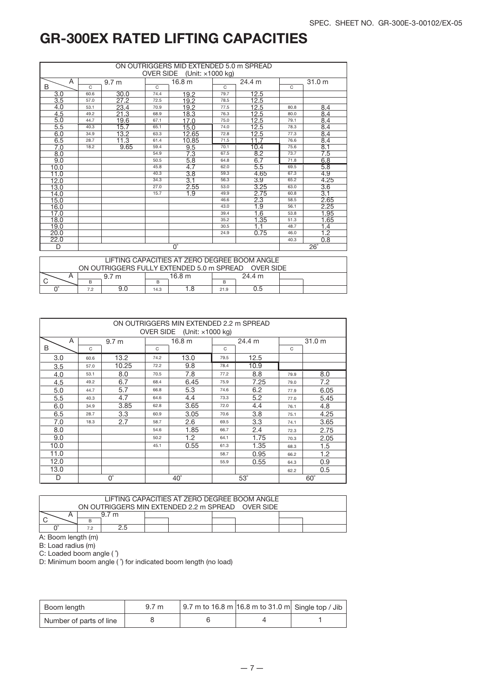| ON OUTRIGGERS MID EXTENDED 5.0 m SPREAD<br><b>OVER SIDE</b><br>(Unit: ×1000 kg)                               |      |                  |              |                        |              |                  |          |                         |
|---------------------------------------------------------------------------------------------------------------|------|------------------|--------------|------------------------|--------------|------------------|----------|-------------------------|
| A<br>24.4 m<br>31.0 m<br>16.8 m<br>9.7 <sub>m</sub>                                                           |      |                  |              |                        |              |                  |          |                         |
| <sub>B</sub>                                                                                                  | C.   |                  | $\mathsf{C}$ |                        | $\mathsf{C}$ |                  | $\Omega$ |                         |
| 3.0                                                                                                           | 60.6 | 30.0             | 74.4         | 19.2                   | 79.7         | 12.5             |          |                         |
| $\overline{3.5}$                                                                                              | 57.0 | 27.2             | 72.5         | 19.2                   | 78.5         | 12.5             |          |                         |
| 4.0                                                                                                           | 53.1 | 23.4             | 70.9         | 19.2                   | 77.5         | 12.5             | 80.8     | 8.4                     |
| 4.5                                                                                                           | 49.2 | 21.3             | 68.9         | 18.3                   | 76.3         | 12.5             | 80.0     | 8.4                     |
| 5.0                                                                                                           | 44.7 | 19.6             | 67.1         | 17.0                   | 75.0         | 12.5             | 79.1     | 8.4                     |
| 5.5                                                                                                           | 40.3 | 15.7             | 65.1         | 15.0                   | 74.0         | 12.5             | 78.3     | 8.4                     |
| 6.0                                                                                                           | 34.9 | 13.2             | 63.3         | 12.65                  | 72.8         | 12.5             | 77.3     | 8.4                     |
| 6.5                                                                                                           | 28.7 | 11.3             | 61.4         | 10.85                  | 71.5         | 11.7             | 76.6     | 8.4                     |
| 7.0                                                                                                           | 18.2 | 9.65             | 59.4         | 9.5                    | 70.1         | 10.4             | 75.6     | 8.1                     |
| 8.0                                                                                                           |      |                  | 54.9         | 7.3                    | 67.5         | 8.2              | 73.7     | 7.5                     |
| 9.0                                                                                                           |      |                  | 50.5         | 5.8                    | 64.8         | 6.7              | 71.8     | 6.8                     |
| 10.0                                                                                                          |      |                  | 45.8         | 4.7                    | 62.0         | 5.5              | 69.5     | 5.8                     |
| 11.0                                                                                                          |      |                  | 40.3         | 3.8                    | 59.3         | 4.65             | 67.3     | 4.9                     |
| 12.0                                                                                                          |      |                  | 34.3         | 3.1                    | 56.3         | 3.9              | 65.2     | 4.25                    |
| 13.0                                                                                                          |      |                  | 27.0         | 2.55                   | 53.0         | 3.25             | 63.0     | 3.6                     |
| 14.0                                                                                                          |      |                  | 15.7         | $\overline{1.9}$       | 49.9         | 2.75             | 60.8     | 3.1                     |
| 15.0                                                                                                          |      |                  |              |                        | 46.6         | 2.3              | 58.5     | 2.65                    |
| 16.0                                                                                                          |      |                  |              |                        | 43.0         | $\overline{1.9}$ | 56.1     | 2.25                    |
| 17.0                                                                                                          |      |                  |              |                        | 39.4         | $\overline{1.6}$ | 53.8     | 1.95                    |
| 18.0                                                                                                          |      |                  |              |                        | 35.2         | 1.35             | 51.3     | 1.65                    |
| 19.0                                                                                                          |      |                  |              |                        | 30.5         | 1.1              | 48.7     | 1.4                     |
| 20.0                                                                                                          |      |                  |              |                        | 24.9         | 0.75             | 46.0     | $\overline{1.2}$        |
| 22.0                                                                                                          |      |                  |              |                        |              |                  | 40.3     | 0.8                     |
| D                                                                                                             |      |                  |              | $\overline{0}^{\circ}$ |              |                  |          | $\overline{26}^{\circ}$ |
| LIFTING CAPACITIES AT ZERO DEGREE BOOM ANGLE<br>ON OUTRIGGERS FULLY EXTENDED 5.0 m SPREAD<br><b>OVER SIDE</b> |      |                  |              |                        |              |                  |          |                         |
|                                                                                                               |      |                  |              |                        |              |                  |          |                         |
| A<br>C                                                                                                        | B    | 9.7 <sub>m</sub> | B            | 16.8 m                 | B            | 24.4 m           |          |                         |

|      |              |                  |      | ON OUTRIGGERS MIN EXTENDED 2.2 m SPREAD |                          |        |      |                   |  |  |
|------|--------------|------------------|------|-----------------------------------------|--------------------------|--------|------|-------------------|--|--|
|      |              |                  |      | OVER SIDE (Unit: $\times$ 1000 kg)      |                          |        |      |                   |  |  |
| A    |              | 9.7 <sub>m</sub> |      | 16.8 <sub>m</sub>                       |                          | 24.4 m |      | 31.0 <sub>m</sub> |  |  |
| B    | $\mathsf{C}$ |                  | C    |                                         | C                        |        | C    |                   |  |  |
| 3.0  | 60.6         | 13.2             | 74.2 | 13.0                                    | 79.5                     | 12.5   |      |                   |  |  |
| 3.5  | 57.0         | 10.25            | 72.2 | 9.8                                     | 78.4                     | 10.9   |      |                   |  |  |
| 4.0  | 53.1         | 8.0              | 70.5 | 7.8                                     | 77.2                     | 8.8    | 79.9 | 8.0               |  |  |
| 4.5  | 49.2         | 6.7              | 68.4 | 6.45                                    | 75.9                     | 7.25   | 79.0 | 7.2               |  |  |
| 5.0  | 44.7         | 5.7              | 66.8 | 5.3                                     | 74.6                     | 6.2    | 77.9 | 6.05              |  |  |
| 5.5  | 40.3         | 4.7              | 64.6 | 4.4                                     | 73.3                     | 5.2    | 77.0 | 5.45              |  |  |
| 6.0  | 34.9         | 3.85             | 62.8 | 3.65                                    | 72.0                     | 4.4    | 76.1 | 4.8               |  |  |
| 6.5  | 28.7         | 3.3              | 60.9 | 3.05                                    | 70.6                     | 3.8    | 75.1 | 4.25              |  |  |
| 7.0  | 18.3         | 2.7              | 58.7 | 2.6                                     | 69.5                     | 3.3    | 74.1 | 3.65              |  |  |
| 8.0  |              |                  | 54.6 | 1.85                                    | 66.7                     | 2.4    | 72.3 | 2.75              |  |  |
| 9.0  |              |                  | 50.2 | 1.2                                     | 64.1                     | 1.75   | 70.3 | 2.05              |  |  |
| 10.0 |              |                  | 45.1 | 0.55                                    | 61.3                     | 1.35   | 68.3 | 1.5               |  |  |
| 11.0 |              |                  |      |                                         | 58.7                     | 0.95   | 66.2 | 1.2               |  |  |
| 12.0 |              |                  |      |                                         | 55.9                     | 0.55   | 64.3 | 0.9               |  |  |
| 13.0 |              |                  |      |                                         |                          |        | 62.2 | 0.5               |  |  |
| D    |              | $0^{\circ}$      |      | $40^{\circ}$                            | $53^\circ$<br>$60^\circ$ |        |      |                   |  |  |

| LIFTING CAPACITIES AT ZERO DEGREE BOOM ANGLE<br>ON OUTRIGGERS MIN EXTENDED 2.2 m SPREAD OVER SIDE |     |  |  |  |  |  |  |  |  |  |  |  |
|---------------------------------------------------------------------------------------------------|-----|--|--|--|--|--|--|--|--|--|--|--|
|                                                                                                   | . m |  |  |  |  |  |  |  |  |  |  |  |
|                                                                                                   |     |  |  |  |  |  |  |  |  |  |  |  |
| 7.2                                                                                               |     |  |  |  |  |  |  |  |  |  |  |  |

A: Boom length (m)

B: Load radius (m)

C: Loaded boom angle ( ˚)

D: Minimum boom angle ( ˚) for indicated boom length (no load)

 $C \sim$  B  $\sim$  B  $\sim$  B  $\sim$  B  $\sim$  B  $\sim$ 

0° | 7.2 | 9.0 | 14.3 | 1.8 | 21.9 | 0.5

| Boom length             | 9.7 <sub>m</sub> | $\vert$ 9.7 m to 16.8 m $\vert$ 16.8 m to 31.0 m Single top / Jib |  |
|-------------------------|------------------|-------------------------------------------------------------------|--|
| Number of parts of line |                  |                                                                   |  |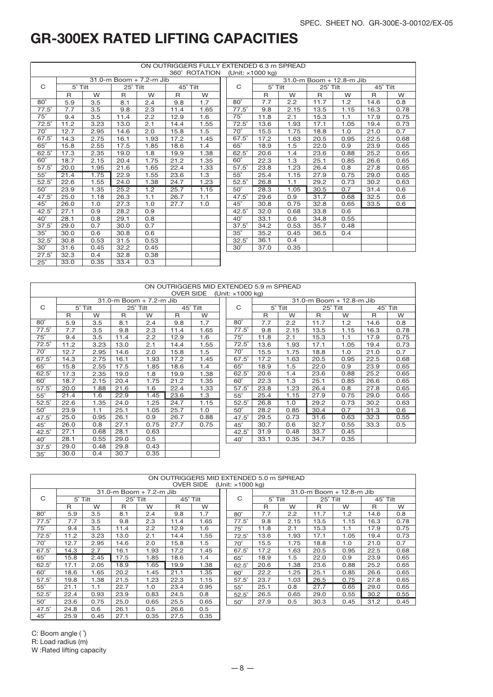| ON OUTRIGGERS FULLY EXTENDED 6.3 m SPREAD |                |      |          |                         |          |               |  |              |                          |      |                 |                          |              |      |
|-------------------------------------------|----------------|------|----------|-------------------------|----------|---------------|--|--------------|--------------------------|------|-----------------|--------------------------|--------------|------|
|                                           |                |      |          |                         |          | 360° ROTATION |  |              | (Unit: $\times$ 1000 kg) |      |                 |                          |              |      |
|                                           |                |      |          | 31.0-m Boom + 7.2-m Jib |          |               |  |              |                          |      |                 | 31.0-m Boom + 12.8-m Jib |              |      |
| C                                         | $5^\circ$ Tilt |      | 25° Tilt |                         | 45° Tilt |               |  | C            | $5^\circ$ Tilt           |      | $25^\circ$ Tilt |                          | 45° Tilt     |      |
|                                           | $\mathsf{R}$   | W    | R        | W                       | R        | W             |  |              | R                        | W    | R               | W                        | $\mathsf{R}$ | W    |
| $80^\circ$                                | 5.9            | 3.5  | 8.1      | 2.4                     | 9.8      | 1.7           |  | $80^\circ$   | 7.7                      | 2.2  | 11.7            | 1.2                      | 14.6         | 0.8  |
| $77.5^\circ$                              | 7.7            | 3.5  | 9.8      | 2.3                     | 11.4     | 1.65          |  | $77.5^\circ$ | 9.8                      | 2.15 | 13.5            | 1.15                     | 16.3         | 0.78 |
| $75^\circ$                                | 9.4            | 3.5  | 11.4     | 2.2                     | 12.9     | 1.6           |  | $75^\circ$   | 11.8                     | 2.1  | 15.3            | 1.1                      | 17.9         | 0.75 |
| $72.5^\circ$                              | 11.2           | 3.23 | 13.0     | 2.1                     | 14.4     | 1.55          |  | $72.5^\circ$ | 13.6                     | 1.93 | 17.1            | 1.05                     | 19.4         | 0.73 |
| $70^\circ$                                | 12.7           | 2.95 | 14.6     | 2.0                     | 15.8     | 1.5           |  | $70^\circ$   | 15.5                     | 1.75 | 18.8            | 1.0                      | 21.0         | 0.7  |
| $67.5^\circ$                              | 14.3           | 2.75 | 16.1     | 1.93                    | 17.2     | 1.45          |  | $67.5^\circ$ | 17.2                     | 1.63 | 20.5            | 0.95                     | 22.5         | 0.68 |
| $65^\circ$                                | 15.8           | 2.55 | 17.5     | 1.85                    | 18.6     | 1.4           |  | $65^\circ$   | 18.9                     | 1.5  | 22.0            | 0.9                      | 23.9         | 0.65 |
| $62.5^\circ$                              | 17.3           | 2.35 | 19.0     | 1.8                     | 19.9     | 1.38          |  | $62.5^\circ$ | 20.6                     | 1.4  | 23.6            | 0.88                     | 25.2         | 0.65 |
| $60^\circ$                                | 18.7           | 2.15 | 20.4     | 1.75                    | 21.2     | 1.35          |  | $60^\circ$   | 22.3                     | 1.3  | 25.1            | 0.85                     | 26.6         | 0.65 |
| $57.5^\circ$                              | 20.0           | 1.95 | 21.6     | 1.65                    | 22.4     | 1.33          |  | $57.5^\circ$ | 23.8                     | 1.23 | 26.4            | 0.8                      | 27.8         | 0.65 |
| $55^{\circ}$                              | 21.4           | 1.75 | 22.9     | 1.55                    | 23.6     | 1.3           |  | $55^\circ$   | 25.4                     | 1.15 | 27.9            | 0.75                     | 29.0         | 0.65 |
| $52.5^\circ$                              | 22.6           | 1.55 | 24.0     | 1.38                    | 24.7     | 1.23          |  | $52.5^\circ$ | 26.8                     | 1.1  | 29.2            | 0.73                     | 30.2         | 0.63 |
| $50^\circ$                                | 23.9           | 1.35 | 25.2     | 1.2                     | 25.7     | 1.15          |  | $50^\circ$   | 28.3                     | 1.05 | 30.5            | 0.7                      | 31.4         | 0.6  |
| $47.5^\circ$                              | 25.0           | 1.18 | 26.3     | 1.1                     | 26.7     | 1.1           |  | $47.5^\circ$ | 29.6                     | 0.9  | 31.7            | 0.68                     | 32.5         | 0.6  |
| $45^\circ$                                | 26.0           | 1.0  | 27.3     | 1.0                     | 27.7     | 1.0           |  | $45^{\circ}$ | 30.8                     | 0.75 | 32.8            | 0.65                     | 33.5         | 0.6  |
| $42.5^\circ$                              | 27.1           | 0.9  | 28.2     | 0.9                     |          |               |  | $42.5^\circ$ | 32.0                     | 0.68 | 33.8            | 0.6                      |              |      |
| $40^{\circ}$                              | 28.1           | 0.8  | 29.1     | 0.8                     |          |               |  | $40^{\circ}$ | 33.1                     | 0.6  | 34.8            | 0.55                     |              |      |
| $37.5^\circ$                              | 29.0           | 0.7  | 30.0     | 0.7                     |          |               |  | $37.5^\circ$ | 34.2                     | 0.53 | 35.7            | 0.48                     |              |      |
| $35^\circ$                                | 30.0           | 0.6  | 30.8     | 0.6                     |          |               |  | $35^\circ$   | 35.2                     | 0.45 | 36.5            | 0.4                      |              |      |
| $32.5^\circ$                              | 30.8           | 0.53 | 31.5     | 0.53                    |          |               |  | $32.5^\circ$ | 36.1                     | 0.4  |                 |                          |              |      |
| $30^\circ$                                | 31.6           | 0.45 | 32.2     | 0.45                    |          |               |  | $30^\circ$   | 37.0                     | 0.35 |                 |                          |              |      |
| $27.5^\circ$                              | 32.3           | 0.4  | 32.8     | 0.38                    |          |               |  |              |                          |      |                 |                          |              |      |
| $25^\circ$                                | 33.0           | 0.35 | 33.4     | 0.3                     |          |               |  |              |                          |      |                 |                          |              |      |

|              |      |                |      |                         |                  | ON OUTRIGGERS MID EXTENDED 5.9 m SPREAD |                  |      |                |      |                          |      |                 |  |
|--------------|------|----------------|------|-------------------------|------------------|-----------------------------------------|------------------|------|----------------|------|--------------------------|------|-----------------|--|
|              |      |                |      |                         | <b>OVER SIDE</b> |                                         | (Unit: ×1000 kg) |      |                |      |                          |      |                 |  |
|              |      |                |      | 31.0-m Boom + 7.2-m Jib |                  |                                         |                  |      |                |      | 31.0-m Boom + 12.8-m Jib |      |                 |  |
| C            |      | $5^\circ$ Tilt |      | 25° Tilt                |                  | $45^\circ$ Tilt                         | C                |      | $5^\circ$ Tilt |      | 25° Tilt                 |      | $45^\circ$ Tilt |  |
|              | R    | W              | R    | W                       | R                | W                                       |                  | R    | W              | R    | W                        | R    | W               |  |
| $80^\circ$   | 5.9  | 3.5            | 8.1  | 2.4                     | 9.8              | 1.7                                     | $80^\circ$       | 7.7  | 2.2            | 11.7 | 1.2                      | 14.6 | 0.8             |  |
| $77.5^\circ$ | 7.7  | 3.5            | 9.8  | 2.3                     | 11.4             | 1.65                                    | $77.5^\circ$     | 9.8  | 2.15           | 13.5 | 1.15                     | 16.3 | 0.78            |  |
| $75^\circ$   | 9.4  | 3.5            | 11.4 | 2.2                     | 12.9             | 1.6                                     | $75^\circ$       | 11.8 | 2.1            | 15.3 | 1.1                      | 17.9 | 0.75            |  |
| $72.5^\circ$ | 11.2 | 3.23           | 13.0 | 2.1                     | 14.4             | 1.55                                    | $72.5^\circ$     | 13.6 | 1.93           | 17.1 | 1.05                     | 19.4 | 0.73            |  |
| $70^\circ$   | 12.7 | 2.95           | 14.6 | 2.0                     | 15.8             | 1.5                                     | $70^\circ$       | 15.5 | 1.75           | 18.8 | 1.0                      | 21.0 | 0.7             |  |
| $67.5^\circ$ | 14.3 | 2.75           | 16.1 | 1.93                    | 17.2             | 1.45                                    | 67.5°            | 17.2 | 1.63           | 20.5 | 0.95                     | 22.5 | 0.68            |  |
| $65^\circ$   | 15.8 | 2.55           | 17.5 | 1.85                    | 18.6             | 1.4                                     | $65^\circ$       | 18.9 | 1.5            | 22.0 | 0.9                      | 23.9 | 0.65            |  |
| $62.5^\circ$ | 17.3 | 2.35           | 19.0 | 1.8                     | 19.9             | 1.38                                    | $62.5^\circ$     | 20.6 | 1.4            | 23.6 | 0.88                     | 25.2 | 0.65            |  |
| $60^\circ$   | 18.7 | 2.15           | 20.4 | 1.75                    | 21.2             | 1.35                                    | $60^\circ$       | 22.3 | 1.3            | 25.1 | 0.85                     | 26.6 | 0.65            |  |
| $57.5^\circ$ | 20.0 | 1.88           | 21.6 | 1.6                     | 22.4             | 1.33                                    | $57.5^\circ$     | 23.8 | 1.23           | 26.4 | 0.8                      | 27.8 | 0.65            |  |
| $55^\circ$   | 21.4 | 1.6            | 22.9 | 1.45                    | 23.6             | 1.3                                     | $55^{\circ}$     | 25.4 | 1.15           | 27.9 | 0.75                     | 29.0 | 0.65            |  |
| $52.5^\circ$ | 22.6 | 1.35           | 24.0 | 1.25                    | 24.7             | 1.15                                    | $52.5^\circ$     | 26.8 | 1.0            | 29.2 | 0.73                     | 30.2 | 0.63            |  |
| $50^\circ$   | 23.9 | 1.1            | 25.1 | 1.05                    | 25.7             | 1.0                                     | $50^\circ$       | 28.2 | 0.85           | 30.4 | 0.7                      | 31.3 | 0.6             |  |
| $47.5^\circ$ | 25.0 | 0.95           | 26.1 | 0.9                     | 26.7             | 0.88                                    | $47.5^\circ$     | 29.5 | 0.73           | 31.6 | 0.63                     | 32.3 | 0.55            |  |
| $45^{\circ}$ | 26.0 | 0.8            | 27.1 | 0.75                    | 27.7             | 0.75                                    | $45^\circ$       | 30.7 | 0.6            | 32.7 | 0.55                     | 33.3 | 0.5             |  |
| $42.5^\circ$ | 27.1 | 0.68           | 28.1 | 0.63                    |                  |                                         | $42.5^\circ$     | 31.9 | 0.48           | 33.7 | 0.45                     |      |                 |  |
| $40^{\circ}$ | 28.1 | 0.55           | 29.0 | 0.5                     |                  |                                         | $40^{\circ}$     | 33.1 | 0.35           | 34.7 | 0.35                     |      |                 |  |
| $37.5^\circ$ | 29.0 | 0.48           | 29.8 | 0.43                    |                  |                                         |                  |      |                |      |                          |      |                 |  |
| $35^\circ$   | 30.0 | 0.4            | 30.7 | 0.35                    |                  |                                         |                  |      |                |      |                          |      |                 |  |

|              | ON OUTRIGGERS MID EXTENDED 5.0 m SPREAD<br><b>OVER SIDE</b><br>(Unit: $\times$ 1000 kg) |      |      |                         |      |          |  |              |                                  |      |              |      |          |      |  |
|--------------|-----------------------------------------------------------------------------------------|------|------|-------------------------|------|----------|--|--------------|----------------------------------|------|--------------|------|----------|------|--|
|              |                                                                                         |      |      | 31.0-m Boom + 7.2-m Jib |      |          |  |              | $31.0 - m$ Boom $+ 12.8 - m$ Jib |      |              |      |          |      |  |
| C            | $5^\circ$ Tilt                                                                          |      |      | 25° Tilt                |      | 45° Tilt |  | C            | $5^\circ$ Tilt                   |      | 25° Tilt     |      | 45° Tilt |      |  |
|              | R                                                                                       | W    | R    | W                       | R    | W        |  |              | R                                | W    | $\mathsf{R}$ | W    | R        | W    |  |
| $80^\circ$   | 5.9                                                                                     | 3.5  | 8.1  | 2.4                     | 9.8  | 1.7      |  | $80^\circ$   | 7.7                              | 2.2  | 11.7         | 1.2  | 14.6     | 0.8  |  |
| $77.5^\circ$ | 7.7                                                                                     | 3.5  | 9.8  | 2.3                     | 11.4 | 1.65     |  | $77.5^\circ$ | 9.8                              | 2.15 | 13.5         | 1.15 | 16.3     | 0.78 |  |
| $75^\circ$   | 9.4                                                                                     | 3.5  | 11.4 | 2.2                     | 12.9 | 1.6      |  | $75^\circ$   | 11.8                             | 2.1  | 15.3         | 1.1  | 17.9     | 0.75 |  |
| $72.5^\circ$ | 11.2                                                                                    | 3.23 | 13.0 | 2.1                     | 14.4 | 1.55     |  | $72.5^\circ$ | 13.6                             | 1.93 | 17.1         | 1.05 | 19.4     | 0.73 |  |
| $70^\circ$   | 12.7                                                                                    | 2.95 | 14.6 | 2.0                     | 15.8 | 1.5      |  | $70^\circ$   | 15.5                             | 1.75 | 18.8         | 1.0  | 21.0     | 0.7  |  |
| $67.5^\circ$ | 14.3                                                                                    | 2.7  | 16.1 | 1.93                    | 17.2 | 1.45     |  | $67.5^\circ$ | 17.2                             | 1.63 | 20.5         | 0.95 | 22.5     | 0.68 |  |
| $65^\circ$   | 15.8                                                                                    | 2.45 | 17.5 | 1.85                    | 18.6 | 1.4      |  | $65^\circ$   | 18.9                             | 1.5  | 22.0         | 0.9  | 23.9     | 0.65 |  |
| $62.5^\circ$ | 17.1                                                                                    | 2.05 | 18.9 | 1.65                    | 19.9 | 1.38     |  | $62.5^\circ$ | 20.6                             | 1.38 | 23.6         | 0.88 | 25.2     | 0.65 |  |
| $60^\circ$   | 18.6                                                                                    | 1.65 | 20.2 | 1.45                    | 21.1 | 1.35     |  | $60^\circ$   | 22.2                             | 1.25 | 25.1         | 0.85 | 26.6     | 0.65 |  |
| $57.5^\circ$ | 19.8                                                                                    | 1.38 | 21.5 | 1.23                    | 22.3 | 1.15     |  | $57.5^\circ$ | 23.7                             | 1.03 | 26.5         | 0.75 | 27.8     | 0.65 |  |
| $55^\circ$   | 21.1                                                                                    | 1.1  | 22.7 | 1.0                     | 23.4 | 0.95     |  | $55^\circ$   | 25.1                             | 0.8  | 27.7         | 0.65 | 29.0     | 0.65 |  |
| $52.5^\circ$ | 22.4                                                                                    | 0.93 | 23.9 | 0.83                    | 24.5 | 0.8      |  | $52.5^\circ$ | 26.5                             | 0.65 | 29.0         | 0.55 | 30.2     | 0.55 |  |
| $50^\circ$   | 23.6                                                                                    | 0.75 | 25.0 | 0.65                    | 25.5 | 0.65     |  | $50^\circ$   | 27.9                             | 0.5  | 30.3         | 0.45 | 31.2     | 0.45 |  |
| $47.5^\circ$ | 24.8                                                                                    | 0.6  | 26.1 | 0.5                     | 26.6 | 0.5      |  |              |                                  |      |              |      |          |      |  |
| $45^\circ$   | 25.9                                                                                    | 0.45 | 27.1 | 0.35                    | 27.5 | 0.35     |  |              |                                  |      |              |      |          |      |  |

C: Boom angle ( $\degree$ ) R: Load radius (m)

W :Rated lifting capacity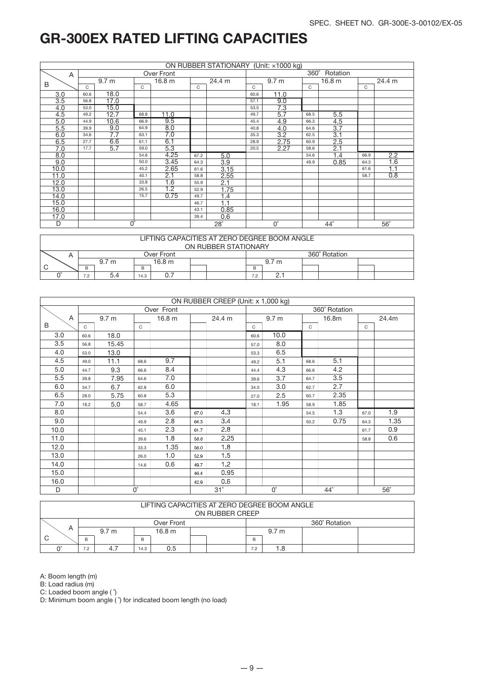|      | ON RUBBER STATIONARY (Unit: x1000 kg) |                        |      |                   |        |            |      |                  |             |                   |        |                  |  |
|------|---------------------------------------|------------------------|------|-------------------|--------|------------|------|------------------|-------------|-------------------|--------|------------------|--|
| Α    |                                       |                        |      | Over Front        |        |            |      |                  | $360^\circ$ | Rotation          |        |                  |  |
|      |                                       | 9.7 <sub>m</sub>       |      | 16.8 <sub>m</sub> | 24.4 m |            |      | 9.7 <sub>m</sub> |             | 16.8 <sub>m</sub> | 24.4 m |                  |  |
| B    | C                                     |                        | C    |                   | C      |            | C    |                  | C           |                   | C      |                  |  |
| 3.0  | 60.6                                  | 18.0                   |      |                   |        |            | 60.6 | 11.0             |             |                   |        |                  |  |
| 3.5  | 56.8                                  | 17.0                   |      |                   |        |            | 57.1 | 9.0              |             |                   |        |                  |  |
| 4.0  | 53.0                                  | 15.0                   |      |                   |        |            | 53.5 | 7.3              |             |                   |        |                  |  |
| 4.5  | 49.2                                  | 12.7                   | 68.8 | 11.0              |        |            | 49.7 | 5.7              | 68.5        | 5.5               |        |                  |  |
| 5.0  | 44.9                                  | 10.6                   | 66.9 | 9.5               |        |            | 45.4 | 4.9              | 66.3        | 4.5               |        |                  |  |
| 5.5  | 39.9                                  | 9.0                    | 64.9 | 8.0               |        |            | 40.8 | 4.0              | 64.6        | 3.7               |        |                  |  |
| 6.0  | 34.6                                  | 7.7                    | 63.1 | 7.0               |        |            | 35.3 | 3.2              | 62.5        | 3.1               |        |                  |  |
| 6.5  | 27.7                                  | 6.6                    | 61.1 | 6.1               |        |            | 28.9 | 2.75             | 60.9        | 2.5               |        |                  |  |
| 7.0  | 17.7                                  | 5.7                    | 59.0 | 5.3               |        |            | 20.5 | 2.27             | 58.6        | 2.1               |        |                  |  |
| 8.0  |                                       |                        | 54.6 | 4.25              | 67.2   | 5.0        |      |                  | 54.6        | 1.4               | 66.9   | 2.2              |  |
| 9.0  |                                       |                        | 50.0 | 3.45              | 64.3   | 3.9        |      |                  | 49.9        | 0.85              | 64.3   | $\overline{1.6}$ |  |
| 10.0 |                                       |                        | 45.2 | 2.65              | 61.6   | 3.15       |      |                  |             |                   | 61.6   | 1.1              |  |
| 11.0 |                                       |                        | 40.1 | 2.1               | 58.8   | 2.55       |      |                  |             |                   | 58.7   | 0.8              |  |
| 12.0 |                                       |                        | 33.8 | 1.6               | 55.9   | 2.1        |      |                  |             |                   |        |                  |  |
| 13.0 |                                       |                        | 26.5 | 1.2               | 52.9   | 1.75       |      |                  |             |                   |        |                  |  |
| 14.0 |                                       |                        | 15.7 | 0.75              | 49.7   | 1.4        |      |                  |             |                   |        |                  |  |
| 15.0 |                                       |                        |      |                   | 46.7   | 1.1        |      |                  |             |                   |        |                  |  |
| 16.0 |                                       |                        |      |                   | 43.1   | 0.85       |      |                  |             |                   |        |                  |  |
| 17.0 |                                       |                        |      |                   | 39.4   | 0.6        |      |                  |             |                   |        |                  |  |
| D    |                                       | $\overline{0}^{\circ}$ |      |                   |        | $28^\circ$ |      | $0^{\circ}$      |             | $44^{\circ}$      |        | $56^\circ$       |  |

|                      | LIFTING CAPACITIES AT ZERO DEGREE BOOM ANGLE |                  |  |                   |  |  |  |                  |  |               |  |  |  |
|----------------------|----------------------------------------------|------------------|--|-------------------|--|--|--|------------------|--|---------------|--|--|--|
| ON RUBBER STATIONARY |                                              |                  |  |                   |  |  |  |                  |  |               |  |  |  |
|                      |                                              |                  |  | Over Front        |  |  |  |                  |  | 360° Rotation |  |  |  |
|                      |                                              | 9.7 <sub>m</sub> |  | 16.8 <sub>m</sub> |  |  |  | 9.7 <sub>m</sub> |  |               |  |  |  |
| C                    | B                                            |                  |  |                   |  |  |  |                  |  |               |  |  |  |
|                      | 7.2                                          | 7.2<br>14.3      |  |                   |  |  |  |                  |  |               |  |  |  |

|      |                           |                  |              |            |      | ON RUBBER CREEP (Unit: x 1,000 kg) |             |                  |              |               |            |      |
|------|---------------------------|------------------|--------------|------------|------|------------------------------------|-------------|------------------|--------------|---------------|------------|------|
|      |                           |                  |              | Over Front |      |                                    |             |                  |              | 360° Rotation |            |      |
| Α    |                           | 9.7 <sub>m</sub> |              | 16.8 m     |      | 24.4 m                             |             | 9.7 <sub>m</sub> | 16.8m        |               | 24.4m      |      |
| B    | C                         |                  | $\mathsf{C}$ |            |      |                                    | C           |                  | $\mathsf{C}$ |               | C          |      |
| 3.0  | 60.6                      | 18.0             |              |            |      |                                    | 60.6        | 10.0             |              |               |            |      |
| 3.5  | 56.8                      | 15.45            |              |            |      |                                    | 57.0        | 8.0              |              |               |            |      |
| 4.0  | 53.0                      | 13.0             |              |            |      |                                    | 53.3        | 6.5              |              |               |            |      |
| 4.5  | 49.0                      | 11.1             | 68.6         | 9.7        |      |                                    | 49.2        | 5.1              | 68.6         | 5.1           |            |      |
| 5.0  | 44.7                      | 9.3              | 66.6         | 8.4        |      |                                    | 44.4        | 4.3              | 66.6         | 4.2           |            |      |
| 5.5  | 39.8                      | 7.95             | 64.6         | 7.0        |      |                                    | 39.6        | 3.7              | 64.7         | 3.5           |            |      |
| 6.0  | 34.7                      | 6.7              | 62.8         | 6.0        |      |                                    | 34.0        | 3.0              | 62.7         | 2.7           |            |      |
| 6.5  | 28.0                      | 5.75             | 60.8         | 5.3        |      |                                    | 27.0        | 2.5              | 60.7         | 2.35          |            |      |
| 7.0  | 18.2                      | 5.0              | 58.7         | 4.65       |      |                                    | 18.1        | 1.95             | 58.9         | 1.85          |            |      |
| 8.0  |                           |                  | 54.4         | 3.6        | 67.0 | 4.3                                |             |                  | 54.5         | 1.3           | 67.0       | 1.9  |
| 9.0  |                           |                  | 49.9         | 2.8        | 64.3 | 3.4                                |             |                  | 50.2         | 0.75          | 64.3       | 1.35 |
| 10.0 |                           |                  | 45.1         | 2.3        | 61.7 | 2.8                                |             |                  |              |               | 61.7       | 0.9  |
| 11.0 |                           |                  | 39.6         | 1.8        | 58.8 | 2.25                               |             |                  |              |               | 58.8       | 0.6  |
| 12.0 |                           |                  | 33.3         | 1.35       | 56.0 | 1.8                                |             |                  |              |               |            |      |
| 13.0 |                           |                  | 26.0         | 1.0        | 52.9 | 1.5                                |             |                  |              |               |            |      |
| 14.0 |                           |                  | 14.6         | 0.6        | 49.7 | 1.2                                |             |                  |              |               |            |      |
| 15.0 |                           |                  |              |            | 46.4 | 0.95                               |             |                  |              |               |            |      |
| 16.0 |                           |                  |              |            | 42.9 | 0.6                                |             |                  |              |               |            |      |
| D    | $0^{\circ}$<br>$31^\circ$ |                  |              |            |      |                                    | $0^{\circ}$ |                  | $44^{\circ}$ |               | $56^\circ$ |      |

|                | LIFTING CAPACITIES AT ZERO DEGREE BOOM ANGLE |                  |  |                   |  |  |  |                  |  |  |  |  |
|----------------|----------------------------------------------|------------------|--|-------------------|--|--|--|------------------|--|--|--|--|
|                | ON RUBBER CREEP                              |                  |  |                   |  |  |  |                  |  |  |  |  |
|                | 360° Rotation<br>Over Front                  |                  |  |                   |  |  |  |                  |  |  |  |  |
| $\overline{a}$ |                                              | 9.7 <sub>m</sub> |  | 16.8 <sub>m</sub> |  |  |  | 9.7 <sub>m</sub> |  |  |  |  |
| C              | B<br>B<br>В                                  |                  |  |                   |  |  |  |                  |  |  |  |  |
|                | 4.7<br>0.5<br>8. ا<br>7.2<br>14.3<br>7.2     |                  |  |                   |  |  |  |                  |  |  |  |  |

A: Boom length (m)

B: Load radius (m)

C: Loaded boom angle (  $\hat{ }$ )

D: Minimum boom angle ( $\hat{ }$ ) for indicated boom length (no load)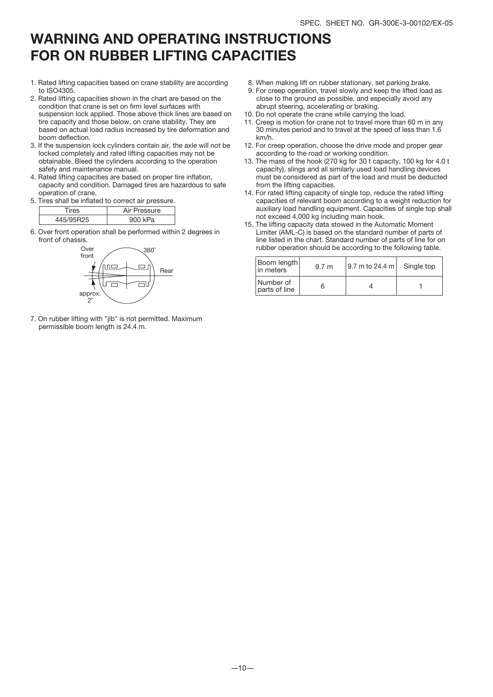### WARNING AND OPERATING INSTRUCTIONS FOR ON RUBBER LIFTING CAPACITIES

- 1. Rated lifting capacities based on crane stability are according to ISO4305.
- 2. Rated lifting capacities shown in the chart are based on the condition that crane is set on firm level surfaces with suspension lock applied. Those above thick lines are based on tire capacity and those below, on crane stability. They are based on actual load radius increased by tire deformation and boom deflection.
- 3. If the suspension lock cylinders contain air, the axle will not be locked completely and rated lifting capacities may not be obtainable. Bleed the cylinders according to the operation safety and maintenance manual.
- 4. Rated lifting capacities are based on proper tire inflation, capacity and condition. Damaged tires are hazardous to safe operation of crane.
- 5. Tires shall be inflated to correct air pressure.

|    | . .      |
|----|----------|
| ٩Ś | Pressure |
|    | `kPa     |

6. Over front operation shall be performed within 2 degrees in front of chassis.



7. On rubber lifting with "jib" is not permitted. Maximum permissible boom length is 24.4 m.

- 8. When making lift on rubber stationary, set parking brake.
- 9. For creep operation, travel slowly and keep the lifted load as close to the ground as possible, and especially avoid any abrupt steering, accelerating or braking.
- 10. Do not operate the crane while carrying the load.
- 11. Creep is motion for crane not to travel more than 60 m in any 30 minutes period and to travel at the speed of less than 1.6 km/h.
- 12. For creep operation, choose the drive mode and proper gear according to the road or working condition.
- 13. The mass of the hook (270 kg for 30 t capacity, 100 kg for 4.0 t capacity), slings and all similarly used load handling devices must be considered as part of the load and must be deducted from the lifting capacities.
- 14. For rated lifting capacity of single top, reduce the rated lifting capacities of relevant boom according to a weight reduction for auxiliary load handling equipment. Capacities of single top shall not exceed 4,000 kg including main hook.
- 15. The lifting capacity data stowed in the Automatic Moment Limiter (AML-C) is based on the standard number of parts of line listed in the chart. Standard number of parts of line for on rubber operation should be according to the following table.

| Boom length<br>l in meters | 9.7 <sub>m</sub> | 19.7 m to 24.4 m l | Single top |
|----------------------------|------------------|--------------------|------------|
| Number of<br>parts of line |                  |                    |            |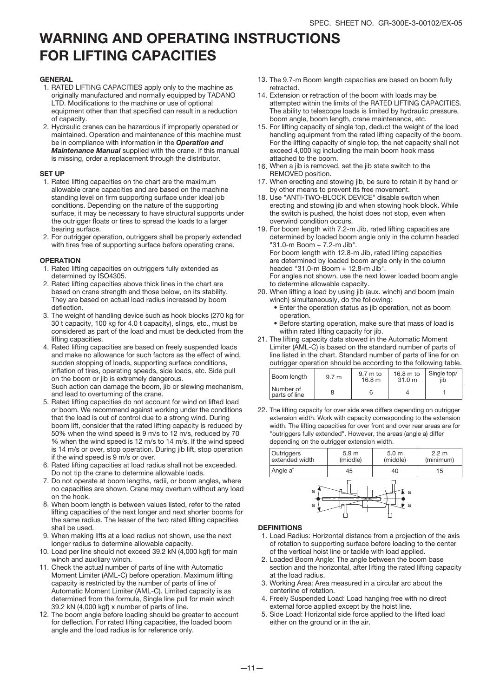### WARNING AND OPERATING INSTRUCTIONS FOR LIFTING CAPACITIES

#### **GENERAL**

- 1. RATED LIFTING CAPACITIES apply only to the machine as originally manufactured and normally equipped by TADANO LTD. Modifications to the machine or use of optional equipment other than that specified can result in a reduction of capacity.
- 2. Hydraulic cranes can be hazardous if improperly operated or maintained. Operation and maintenance of this machine must be in compliance with information in the *Operation and Maintenance Manual* supplied with the crane. If this manual is missing, order a replacement through the distributor.

#### SET UP

- 1. Rated lifting capacities on the chart are the maximum allowable crane capacities and are based on the machine standing level on firm supporting surface under ideal job conditions. Depending on the nature of the supporting surface, it may be necessary to have structural supports under the outrigger floats or tires to spread the loads to a larger bearing surface.
- 2. For outrigger operation, outriggers shall be properly extended with tires free of supporting surface before operating crane.

#### **OPERATION**

- 1. Rated lifting capacities on outriggers fully extended as determined by ISO4305.
- 2. Rated lifting capacities above thick lines in the chart are based on crane strength and those below, on its stability. They are based on actual load radius increased by boom deflection
- 3. The weight of handling device such as hook blocks (270 kg for 30 t capacity, 100 kg for 4.0 t capacity), slings, etc., must be considered as part of the load and must be deducted from the lifting capacities.
- 4. Rated lifting capacities are based on freely suspended loads and make no allowance for such factors as the effect of wind, sudden stopping of loads, supporting surface conditions, inflation of tires, operating speeds, side loads, etc. Side pull on the boom or jib is extremely dangerous. Such action can damage the boom, jib or slewing mechanism, and lead to overturning of the crane.
- 5. Rated lifting capacities do not account for wind on lifted load or boom. We recommend against working under the conditions that the load is out of control due to a strong wind. During boom lift, consider that the rated lifting capacity is reduced by 50% when the wind speed is 9 m/s to 12 m/s, reduced by 70 % when the wind speed is 12 m/s to 14 m/s. If the wind speed is 14 m/s or over, stop operation. During jib lift, stop operation if the wind speed is 9 m/s or over.
- 6. Rated lifting capacities at load radius shall not be exceeded. Do not tip the crane to determine allowable loads.
- 7. Do not operate at boom lengths, radii, or boom angles, where no capacities are shown. Crane may overturn without any load on the hook.
- 8. When boom length is between values listed, refer to the rated lifting capacities of the next longer and next shorter booms for the same radius. The lesser of the two rated lifting capacities shall be used.
- When making lifts at a load radius not shown, use the next 9. longer radius to determine allowable capacity.
- 10. Load per line should not exceed 39.2 kN (4,000 kgf) for main winch and auxiliary winch.
- 11. Check the actual number of parts of line with Automatic Moment Limiter (AML-C) before operation. Maximum lifting capacity is restricted by the number of parts of line of Automatic Moment Limiter (AML-C). Limited capacity is as determined from the formula, Single line pull for main winch 39.2 kN (4,000 kgf) x number of parts of line.
- 12. The boom angle before loading should be greater to account for deflection. For rated lifting capacities, the loaded boom angle and the load radius is for reference only.
- 13. The 9.7-m Boom length capacities are based on boom fully retracted.
- 14. Extension or retraction of the boom with loads may be attempted within the limits of the RATED LIFTING CAPACITIES. The ability to telescope loads is limited by hydraulic pressure, boom angle, boom length, crane maintenance, etc.
- 15. For lifting capacity of single top, deduct the weight of the load handling equipment from the rated lifting capacity of the boom. For the lifting capacity of single top, the net capacity shall not exceed 4,000 kg including the main boom hook mass attached to the boom.
- When a jib is removed, set the jib state switch to the 16. REMOVED position.
- 17. When erecting and stowing jib, be sure to retain it by hand or by other means to prevent its free movement.
- 18. Use "ANTI-TWO-BLOCK DEVICE" disable switch when erecting and stowing jib and when stowing hook block. While the switch is pushed, the hoist does not stop, even when overwind condition occurs.
- 19. For boom length with 7.2-m Jib, rated lifting capacities are determined by loaded boom angle only in the column headed "31.0-m Boom + 7.2-m Jib". For boom length with 12.8-m Jib, rated lifting capacities are determined by loaded boom angle only in the column headed "31.0-m Boom + 12.8-m Jib".

For angles not shown, use the next lower loaded boom angle to determine allowable capacity.

- 20. When lifting a load by using jib (aux. winch) and boom (main winch) simultaneously, do the following:
	- Enter the operation status as jib operation, not as boom operation.
	- Before starting operation, make sure that mass of load is within rated lifting capacity for jib.
- 21. The lifting capacity data stowed in the Automatic Moment Limiter (AML-C) is based on the standard number of parts of line listed in the chart. Standard number of parts of line for on outrigger operation should be according to the following table.

| Boom length                | 9.7 <sub>m</sub> | $9.7 \text{ m}$ to<br>16.8 <sub>m</sub> | $16.8 \text{ m}$ to<br>31.0 m | Single top/<br>iib |
|----------------------------|------------------|-----------------------------------------|-------------------------------|--------------------|
| Number of<br>parts of line |                  |                                         |                               |                    |

22. The lifting capacity for over side area differs depending on outrigger extension width. Work with capacity corresponding to the extension width. The lifting capacities for over front and over rear areas are for "outriggers fully extended". However, the areas (angle a) differ depending on the outrigger extension width.



#### DEFINITIONS

- 1. Load Radius: Horizontal distance from a projection of the axis of rotation to supporting surface before loading to the center of the vertical hoist line or tackle with load applied.
- 2. Loaded Boom Angle: The angle between the boom base section and the horizontal, after lifting the rated lifting capacity at the load radius.
- Working Area: Area measured in a circular arc about the 3. centerline of rotation.
- 4. Freely Suspended Load: Load hanging free with no direct external force applied except by the hoist line.
- Side Load: Horizontal side force applied to the lifted load 5. either on the ground or in the air.